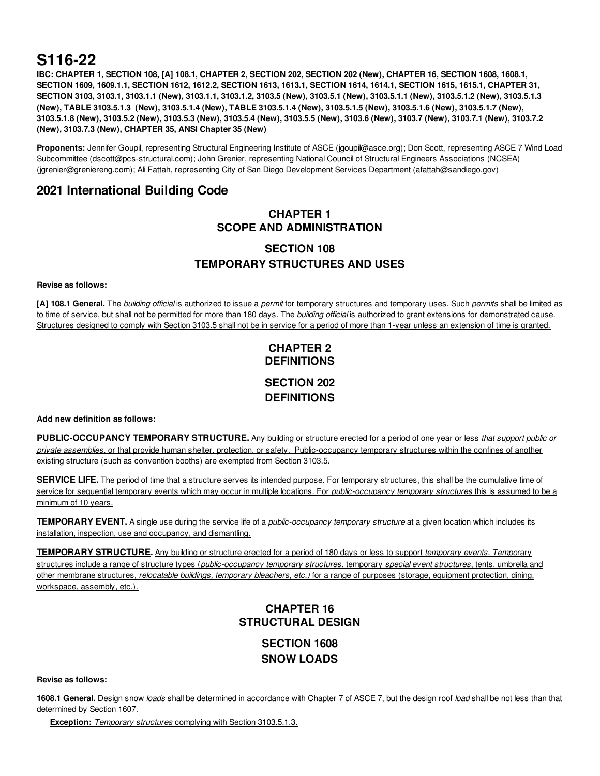# **S116-22**

IBC: CHAPTER 1, SECTION 108, [A] 108.1, CHAPTER 2, SECTION 202, SECTION 202 (New), CHAPTER 16, SECTION 1608, 1608.1, SECTION 1609, 1609.1.1, SECTION 1612, 1612.2, SECTION 1613, 1613.1, SECTION 1614, 1614.1, SECTION 1615, 1615.1, CHAPTER 31, SECTION 3103, 3103.1, 3103.1.1 (New), 3103.1.1, 3103.1.2, 3103.5 (New), 3103.5.1 (New), 3103.5.1.1 (New), 3103.5.1.2 (New), 3103.5.1.3 (New), TABLE 3103.5.1.3 (New), 3103.5.1.4 (New), TABLE 3103.5.1.4 (New), 3103.5.1.5 (New), 3103.5.1.6 (New), 3103.5.1.7 (New), 3103.5.1.8 (New), 3103.5.2 (New), 3103.5.3 (New), 3103.5.4 (New), 3103.5.5 (New), 3103.6 (New), 3103.7 (New), 3103.7.1 (New), 3103.7.2 **(New), 3103.7.3 (New), CHAPTER 35, ANSI Chapter 35 (New)**

**Proponents:** Jennifer Goupil, representing Structural Engineering Institute of ASCE (jgoupil@asce.org); Don Scott, representing ASCE 7 Wind Load Subcommittee (dscott@pcs-structural.com); John Grenier, representing National Council of Structural Engineers Associations (NCSEA) (jgrenier@greniereng.com); Ali Fattah, representing City of San Diego Development Services Department (afattah@sandiego.gov)

## **2021 International Building Code**

## **CHAPTER 1 SCOPE AND ADMINISTRATION**

## **SECTION 108 TEMPORARY STRUCTURES AND USES**

## **Revise as follows:**

**[A] 108.1 General.** The *building official* is authorized to issue a *permit* for temporary structures and temporary uses. Such *permits* shall be limited as to time of service, but shall not be permitted for more than 180 days. The *building official* is authorized to grant extensions for demonstrated cause. Structures designed to comply with Section 3103.5 shall not be in service for a period of more than 1-year unless an extension of time is granted.

## **CHAPTER 2 DEFINITIONS SECTION 202 DEFINITIONS**

## **Add new definition as follows:**

**PUBLIC-OCCUPANCY TEMPORARY STRUCTURE.** Any building or structure erected for a period of one year or less *that support public or private assemblies*, or that provide human shelter, protection, or safety. Public-occupancy temporary structures within the confines of another existing structure (such as convention booths) are exempted from Section 3103.5.

**SERVICE LIFE.** The period of time that a structure serves its intended purpose. For temporary structures, this shall be the cumulative time of service for sequential temporary events which may occur in multiple locations. For *public-occupancy temporary structures* this is assumed to be a minimum of 10 years.

**TEMPORARY EVENT.** A single use during the service life of a *public-occupancy temporary structure* at a given location which includes its installation, inspection, use and occupancy, and dismantling.

**TEMPORARY STRUCTURE.** Any building or structure erected for a period of 180 days or less to support *temporary events. Tempo*rary structures include a range of structure types (*public-occupancy temporary structures*, temporary *special event structures*, tents, umbrella and other membrane structures, *relocatable buildings, temporary bleachers, etc.)* for a range of purposes (storage, equipment protection, dining, workspace, assembly, etc.).

## **CHAPTER 16 STRUCTURAL DESIGN**

**SECTION 1608 SNOW LOADS**

**Revise as follows:**

**1608.1 General.** Design snow *loads* shall be determined in accordance with Chapter 7 of ASCE 7, but the design roof *load* shall be not less than that determined by Section 1607.

**Exception:** *Temporary structures* complying with Section 3103.5.1.3.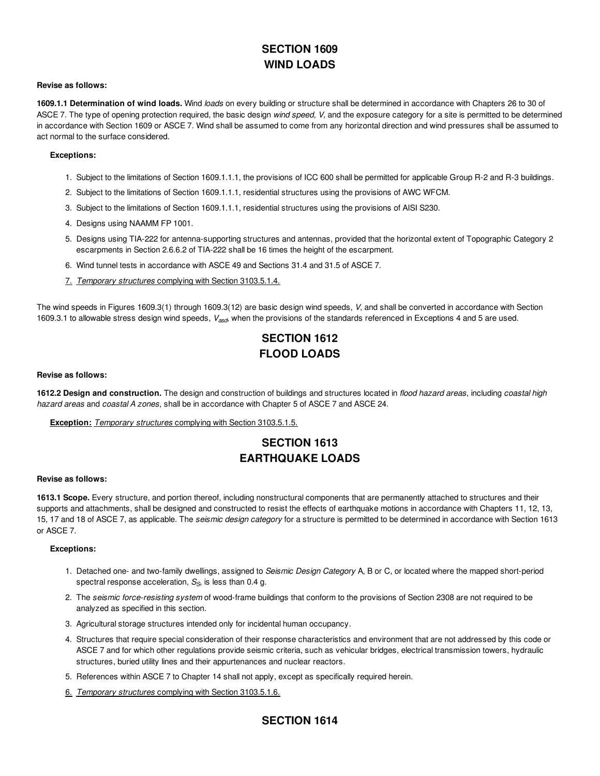## **SECTION 1609 WIND LOADS**

## **Revise as follows:**

**1609.1.1 Determination of wind loads.** Wind *loads* on every building or structure shall be determined in accordance with Chapters 26 to 30 of ASCE 7. The type of opening protection required, the basic design *wind speed*, *V*, and the exposure category for a site is permitted to be determined in accordance with Section 1609 or ASCE 7. Wind shall be assumed to come from any horizontal direction and wind pressures shall be assumed to act normal to the surface considered.

## **Exceptions:**

- 1. Subject to the limitations of Section 1609.1.1.1, the provisions of ICC 600 shall be permitted for applicable Group R-2 and R-3 buildings.
- 2. Subject to the limitations of Section 1609.1.1.1, residential structures using the provisions of AWC WFCM.
- 3. Subject to the limitations of Section 1609.1.1.1, residential structures using the provisions of AISI S230.
- 4. Designs using NAAMM FP 1001.
- 5. Designs using TIA-222 for antenna-supporting structures and antennas, provided that the horizontal extent of Topographic Category 2 escarpments in Section 2.6.6.2 of TIA-222 shall be 16 times the height of the escarpment.
- 6. Wind tunnel tests in accordance with ASCE 49 and Sections 31.4 and 31.5 of ASCE 7.
- 7. *Temporary structures* complying with Section 3103.5.1.4.

The wind speeds in Figures 1609.3(1) through 1609.3(12) are basic design wind speeds, *V*, and shall be converted in accordance with Section 1609.3.1 to allowable stress design wind speeds, V<sub>asd</sub>, when the provisions of the standards referenced in Exceptions 4 and 5 are used.

## **SECTION 1612 FLOOD LOADS**

## **Revise as follows:**

**1612.2 Design and construction.** The design and construction of buildings and structures located in *flood hazard areas*, including *coastal high hazard areas* and *coastal A zones*, shall be in accordance with Chapter 5 of ASCE 7 and ASCE 24.

**Exception:** *Temporary structures* complying with Section 3103.5.1.5.

## **SECTION 1613 EARTHQUAKE LOADS**

## **Revise as follows:**

**1613.1 Scope.** Every structure, and portion thereof, including nonstructural components that are permanently attached to structures and their supports and attachments, shall be designed and constructed to resist the effects of earthquake motions in accordance with Chapters 11, 12, 13, 15, 17 and 18 of ASCE 7, as applicable. The *seismic design category* for a structure is permitted to be determined in accordance with Section 1613 or ASCE 7.

## **Exceptions:**

- 1. Detached one- and two-family dwellings, assigned to *Seismic Design Category* A, B or C, or located where the mapped short-period spectral response acceleration,  $S_{\rm S}$ , is less than 0.4 g.
- 2. The *seismic force-resisting system* of wood-frame buildings that conform to the provisions of Section 2308 are not required to be analyzed as specified in this section.
- 3. Agricultural storage structures intended only for incidental human occupancy.
- 4. Structures that require special consideration of their response characteristics and environment that are not addressed by this code or ASCE 7 and for which other regulations provide seismic criteria, such as vehicular bridges, electrical transmission towers, hydraulic structures, buried utility lines and their appurtenances and nuclear reactors.
- 5. References within ASCE 7 to Chapter 14 shall not apply, except as specifically required herein.
- 6. *Temporary structures* complying with Section 3103.5.1.6.

## **SECTION 1614**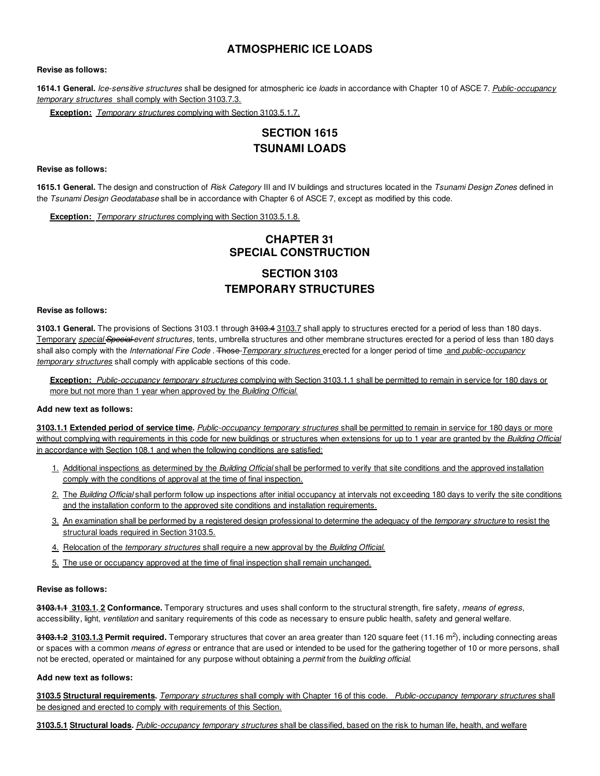## **ATMOSPHERIC ICE LOADS**

## **Revise as follows:**

**1614.1 General.** *Ice-sensitive structures* shall be designed for atmospheric ice *loads* in accordance with Chapter 10 of ASCE 7. *Public-occupancy temporary structures* shall comply with Section 3103.7.3.

**Exception:** *Temporary structures* complying with Section 3103.5.1.7.

## **SECTION 1615 TSUNAMI LOADS**

**Revise as follows:**

**1615.1 General.** The design and construction of *Risk Category* III and IV buildings and structures located in the *Tsunami Design Zones* defined in the *Tsunami Design Geodatabase* shall be in accordance with Chapter 6 of ASCE 7, except as modified by this code.

**Exception:** *Temporary structures* complying with Section 3103.5.1.8.

## **CHAPTER 31 SPECIAL CONSTRUCTION**

## **SECTION 3103 TEMPORARY STRUCTURES**

#### **Revise as follows:**

**3103.1 General.** The provisions of Sections 3103.1 through 3103.4 3103.7 shall apply to structures erected for a period of less than 180 days. Temporary *special Special event structures*, tents, umbrella structures and other membrane structures erected for a period of less than 180 days shall also comply with the *International Fire Code* . Those *Temporary structures* erected for a longer period of time and *public-occupancy temporary structures* shall comply with applicable sections of this code.

**Exception:** *Public-occupancy temporary structures* complying with Section 3103.1.1 shall be permitted to remain in service for 180 days or more but not more than 1 year when approved by the *Building Official*.

## **Add new text as follows:**

**3103.1.1 Extended period of service time.** *Public-occupancy temporary structures* shall be permitted to remain in service for 180 days or more without complying with requirements in this code for new buildings or structures when extensions for up to 1 year are granted by the *Building Official* in accordance with Section 108.1 and when the following conditions are satisfied:

- 1. Additional inspections as determined by the *Building Official* shall be performed to verify that site conditions and the approved installation comply with the conditions of approval at the time of final inspection.
- 2. The *Building Official* shall perform follow up inspections after initial occupancy at intervals not exceeding 180 days to verify the site conditions and the installation conform to the approved site conditions and installation requirements.
- 3. An examination shall be performed by a registered design professional to determine the adequacy of the *temporary structure* to resist the structural loads required in Section 3103.5.
- 4. Relocation of the *temporary structures* shall require a new approval by the *Building Official*.
- 5. The use or occupancy approved at the time of final inspection shall remain unchanged.

#### **Revise as follows:**

**3103.1.1 3103.1. 2 Conformance.** Temporary structures and uses shall conform to the structural strength, fire safety, *means of egress*, accessibility, light, *ventilation* and sanitary requirements of this code as necessary to ensure public health, safety and general welfare.

3<del>103.1.2</del> 3103.1.3 Permit required. Temporary structures that cover an area greater than 120 square feet (11.16 m<sup>2</sup>), including connecting areas or spaces with a common *means of egress* or entrance that are used or intended to be used for the gathering together of 10 or more persons, shall not be erected, operated or maintained for any purpose without obtaining a *permit* from the *building official*.

### **Add new text as follows:**

**3103.5 Structural requirements.** *Temporary structures* shall comply with Chapter 16 of this code. *Public-occupanc*y *temporary structures* shall be designed and erected to comply with requirements of this Section.

**3103.5.1 Structural loads.** *Public-occupancy temporary structures* shall be classified, based on the risk to human life, health, and welfare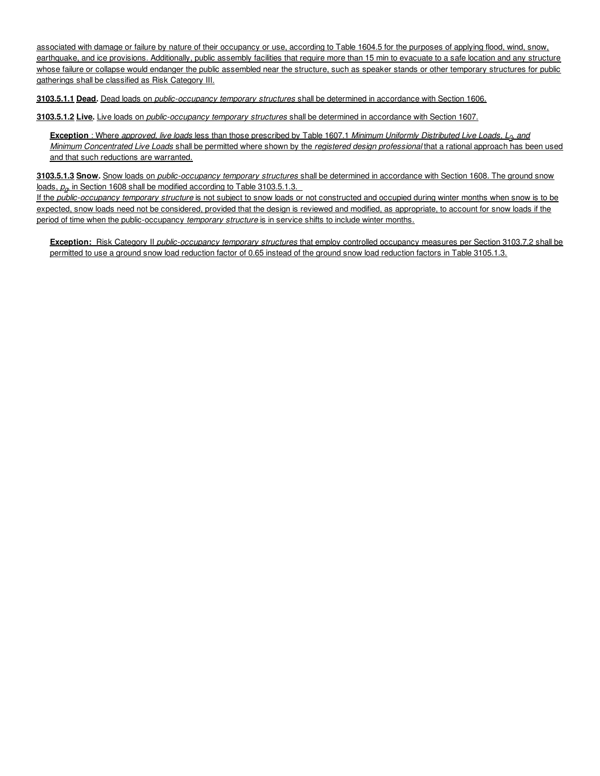associated with damage or failure by nature of their occupancy or use, according to Table 1604.5 for the purposes of applying flood, wind, snow, earthquake, and ice provisions. Additionally, public assembly facilities that require more than 15 min to evacuate to a safe location and any structure whose failure or collapse would endanger the public assembled near the structure, such as speaker stands or other temporary structures for public gatherings shall be classified as Risk Category III.

**3103.5.1.1 Dead.** Dead loads on *public-occupancy temporary structures* shall be determined in accordance with Section 1606.

**3103.5.1.2 Live.** Live loads on *public-occupancy temporary structures* shall be determined in accordance with Section 1607.

**Exception** : Where *approved, live loads* less than those prescribed by Table 1607.1 *Minimum Uniformly Distributed Live Loads, L , and 0 Minimum Concentrated Live Loads* shall be permitted where shown by the *registered design professional* that a rational approach has been used and that such reductions are warranted.

**3103.5.1.3 Snow.** Snow loads on *public-occupancy temporary structures* shall be determined in accordance with Section 1608. The ground snow loads,  $p_{q}$ , in Section 1608 shall be modified according to Table 3103.5.1.3.

If the *public-occupancy temporary structure* is not subject to snow loads or not constructed and occupied during winter months when snow is to be expected, snow loads need not be considered, provided that the design is reviewed and modified, as appropriate, to account for snow loads if the period of time when the public-occupancy *temporary structure* is in service shifts to include winter months.

**Exception:** Risk Category II *public-occupancy temporary structures* that employ controlled occupancy measures per Section 3103.7.2 shall be permitted to use a ground snow load reduction factor of 0.65 instead of the ground snow load reduction factors in Table 3105.1.3.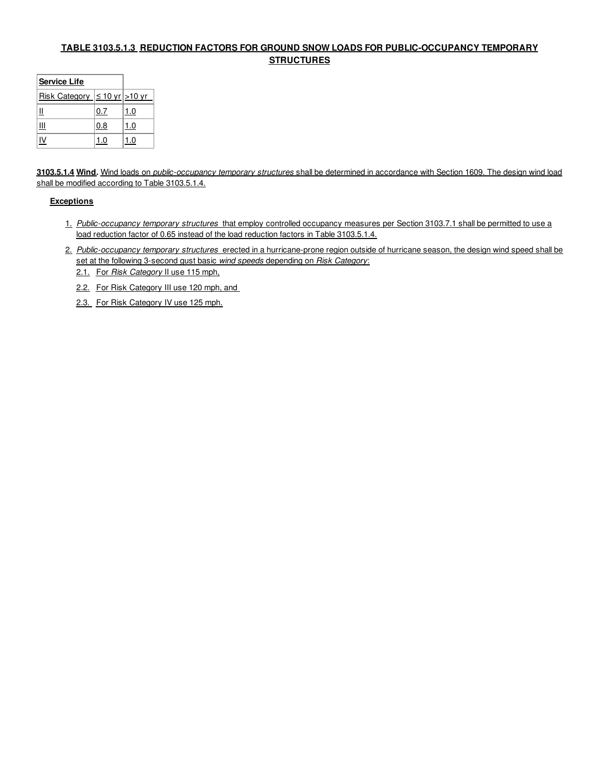## **TABLE 3103.5.1.3 REDUCTION FACTORS FOR GROUND SNOW LOADS FOR PUBLIC-OCCUPANCY TEMPORARY STRUCTURES**

| <b>Service Life</b>                      |     |     |
|------------------------------------------|-----|-----|
| Risk Category $  \leq 10$ yr $  > 10$ yr |     |     |
|                                          | 0.7 | 1.0 |
| Ш                                        | 0.8 | 1.0 |
|                                          | I.O | .0  |

**3103.5.1.4 Wind.** Wind loads on *public-occupancy temporary structures* shall be determined in accordance with Section 1609. The design wind load shall be modified according to Table 3103.5.1.4.

## **Exceptions**

- 1. *Public-occupancy temporary structures* that employ controlled occupancy measures per Section 3103.7.1 shall be permitted to use a load reduction factor of 0.65 instead of the load reduction factors in Table 3103.5.1.4.
- 2. *Public-occupancy temporary structures* erected in a hurricane-prone region outside of hurricane season, the design wind speed shall be set at the following 3-second gust basic *wind speeds* depending on *Risk Category*:
	- 2.1. For *Risk Category* II use 115 mph,
	- 2.2. For Risk Category III use 120 mph, and
	- 2.3. For Risk Category IV use 125 mph.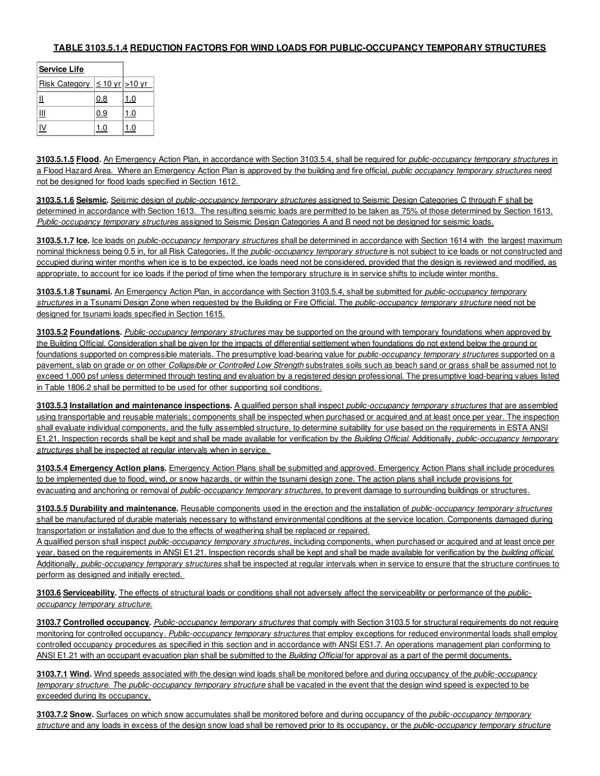## **TABLE 3103.5.1.4 REDUCTION FACTORS FOR WIND LOADS FOR PUBLIC-OCCUPANCY TEMPORARY STRUCTURES**

| <b>Service Life</b>                        |     |     |
|--------------------------------------------|-----|-----|
| <u>Risk Category</u> $\leq 10$ yr $>10$ yr |     |     |
|                                            | 0.8 | 1.0 |
| Ш                                          | 0.9 | 1.0 |
|                                            | 1.0 | 1.0 |

**3103.5.1.5 Flood.** An Emergency Action Plan, in accordance with Section 3103.5.4, shall be required for *public-occupancy temporary structures* in a Flood Hazard Area. Where an Emergency Action Plan is approved by the building and fire official, *public occupancy temporary structures* need not be designed for flood loads specified in Section 1612.

**3103.5.1.6 Seismic.** Seismic design of *public-occupancy temporary structures* assigned to Seismic Design Categories C through F shall be determined in accordance with Section 1613. The resulting seismic loads are permitted to be taken as 75% of those determined by Section 1613. *Public-occupancy temporary structures* assigned to Seismic Design Categories A and B need not be designed for seismic loads.

**3103.5.1.7 Ice.** Ice loads on *public-occupancy temporary structures* shall be determined in accordance with Section 1614 with the largest maximum nominal thickness being 0.5 in, for all Risk Categories**.** If the *public-occupancy temporary structure* is not subject to ice loads or not constructed and occupied during winter months when ice is to be expected, ice loads need not be considered, provided that the design is reviewed and modified, as appropriate, to account for ice loads if the period of time when the temporary structure is in service shifts to include winter months.

**3103.5.1.8 Tsunami.** An Emergency Action Plan, in accordance with Section 3103.5.4, shall be submitted for *public-occupancy temporary structures* in a Tsunami Design Zone when requested by the Building or Fire Official. The *public-occupancy temporary structure* need not be designed for tsunami loads specified in Section 1615.

**3103.5.2 Foundations.** *Public-occupancy temporary structures* may be supported on the ground with temporary foundations when approved by the Building Official. Consideration shall be given for the impacts of differential settlement when foundations do not extend below the ground or foundations supported on compressible materials. The presumptive load-bearing value for *public-occupancy temporary structures* supported on a pavement, slab on grade or on other *Collapsible or Controlled Low Strength* substrates soils such as beach sand or grass shall be assumed not to exceed 1,000 psf unless determined through testing and evaluation by a registered design professional. The presumptive load-bearing values listed in Table 1806.2 shall be permitted to be used for other supporting soil conditions.

**3103.5.3 Installation and maintenance inspections.** A qualified person shall inspect *public-occupancy temporary structures* that are assembled using transportable and reusable materials; components shall be inspected when purchased or acquired and at least once per year. The inspection shall evaluate individual components, and the fully assembled structure, to determine suitability for use based on the requirements in ESTA ANSI E1.21. Inspection records shall be kept and shall be made available for verification by the *Building Official*. Additionally, *public-occupancy temporary structures* shall be inspected at regular intervals when in service.

**3103.5.4 Emergency Action plans.** Emergency Action Plans shall be submitted and approved. Emergency Action Plans shall include procedures to be implemented due to flood, wind, or snow hazards, or within the tsunami design zone. The action plans shall include provisions for evacuating and anchoring or removal of *public-occupancy temporary structures,* to prevent damage to surrounding buildings or structures.

**3103.5.5 Durability and maintenance.** Reusable components used in the erection and the installation of *public-occupancy temporary structures* shall be manufactured of durable materials necessary to withstand environmental conditions at the service location. Components damaged during transportation or installation and due to the effects of weathering shall be replaced or repaired.

A qualified person shall inspect *public-occupancy temporary structures*, including components, when purchased or acquired and at least once per year, based on the requirements in ANSI E1.21. Inspection records shall be kept and shall be made available for verification by the *building official*. Additionally, *public-occupancy temporary structures* shall be inspected at regular intervals when in service to ensure that the structure continues to perform as designed and initially erected.

**3103.6 Serviceability.** The effects of structural loads or conditions shall not adversely affect the serviceability or performance of the *publicoccupancy temporary structure*.

**3103.7 Controlled occupancy.** *Public-occupancy temporary structures* that comply with Section 3103.5 for structural requirements do not require monitoring for controlled occupancy. *Public-occupancy temporary structures* that employ exceptions for reduced environmental loads shall employ controlled occupancy procedures as specified in this section and in accordance with ANSI ES1.7. An operations management plan conforming to ANSI E1.21 with an occupant evacuation plan shall be submitted to the *Building Official* for approval as a part of the permit documents.

**3103.7.1 Wind.** Wind speeds associated with the design wind loads shall be monitored before and during occupancy of the *public-occupancy temporary structure. T*he *public-occupancy temporary structure* shall be vacated in the event that the design wind speed is expected to be exceeded during its occupancy.

**3103.7.2 Snow.** Surfaces on which snow accumulates shall be monitored before and during occupancy of the *public-occupancy temporary structure* and any loads in excess of the design snow load shall be removed prior to its occupancy, or the *public-occupancy temporary structure*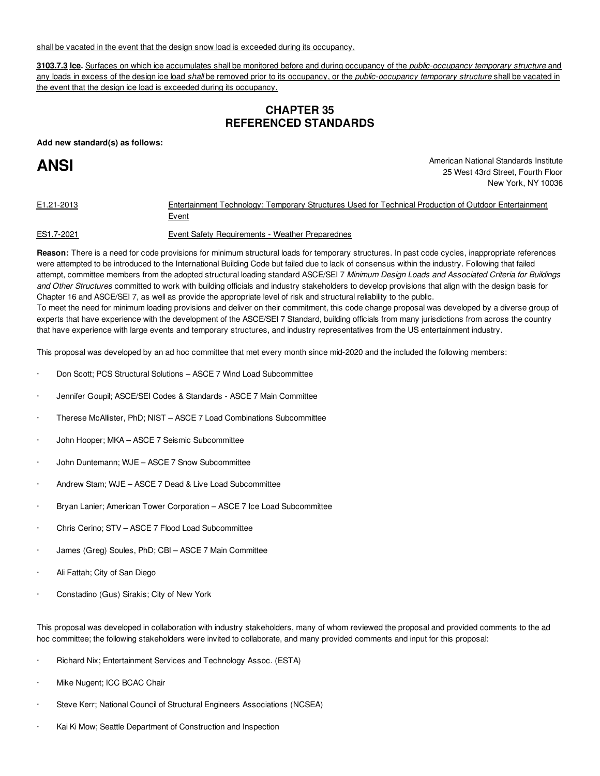shall be vacated in the event that the design snow load is exceeded during its occupancy.

**3103.7.3 Ice.** Surfaces on which ice accumulates shall be monitored before and during occupancy of the *public-occupancy temporary structure* and any loads in excess of the design ice load *shall* be removed prior to its occupancy, or the *public-occupancy temporary structure* shall be vacated in the event that the design ice load is exceeded during its occupancy.

## **CHAPTER 35 REFERENCED STANDARDS**

**Add new standard(s) as follows:**

# **ANSI**

American National Standards Institute 25 West 43rd Street, Fourth Floor New York, NY 10036

| E1.21-2013 | Entertainment Technology: Temporary Structures Used for Technical Production of Outdoor Entertainment |  |
|------------|-------------------------------------------------------------------------------------------------------|--|
|            | Event                                                                                                 |  |
|            |                                                                                                       |  |

ES1.7-2021 Event Safety Requirements - Weather Preparednes

**Reason:** There is a need for code provisions for minimum structural loads for temporary structures. In past code cycles, inappropriate references were attempted to be introduced to the International Building Code but failed due to lack of consensus within the industry. Following that failed attempt, committee members from the adopted structural loading standard ASCE/SEI 7 *Minimum Design Loads and Associated Criteria for Buildings and Other Structures* committed to work with building officials and industry stakeholders to develop provisions that align with the design basis for Chapter 16 and ASCE/SEI 7, as well as provide the appropriate level of risk and structural reliability to the public.

To meet the need for minimum loading provisions and deliver on their commitment, this code change proposal was developed by a diverse group of experts that have experience with the development of the ASCE/SEI 7 Standard, building officials from many jurisdictions from across the country that have experience with large events and temporary structures, and industry representatives from the US entertainment industry.

This proposal was developed by an ad hoc committee that met every month since mid-2020 and the included the following members:

- · Don Scott; PCS Structural Solutions ASCE 7 Wind Load Subcommittee
- · Jennifer Goupil; ASCE/SEI Codes & Standards ASCE 7 Main Committee
- · Therese McAllister, PhD; NIST ASCE 7 Load Combinations Subcommittee
- John Hooper; MKA ASCE 7 Seismic Subcommittee
- John Duntemann; WJE ASCE 7 Snow Subcommittee
- Andrew Stam; WJE ASCE 7 Dead & Live Load Subcommittee
- Bryan Lanier; American Tower Corporation ASCE 7 Ice Load Subcommittee
- Chris Cerino; STV ASCE 7 Flood Load Subcommittee
- James (Greg) Soules, PhD; CBI ASCE 7 Main Committee
- Ali Fattah; City of San Diego
- · Constadino (Gus) Sirakis; City of New York

This proposal was developed in collaboration with industry stakeholders, many of whom reviewed the proposal and provided comments to the ad hoc committee; the following stakeholders were invited to collaborate, and many provided comments and input for this proposal:

- Richard Nix; Entertainment Services and Technology Assoc. (ESTA)
- Mike Nugent; ICC BCAC Chair
- Steve Kerr; National Council of Structural Engineers Associations (NCSEA)
- Kai Ki Mow; Seattle Department of Construction and Inspection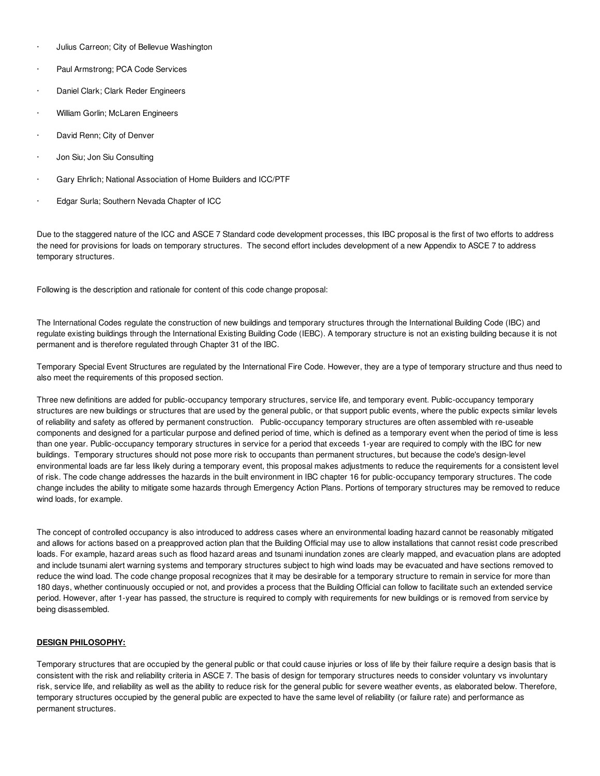- · Julius Carreon; City of Bellevue Washington
- Paul Armstrong; PCA Code Services
- Daniel Clark; Clark Reder Engineers
- William Gorlin; McLaren Engineers
- David Renn; City of Denver
- Jon Siu; Jon Siu Consulting
- · Gary Ehrlich; National Association of Home Builders and ICC/PTF
- Edgar Surla; Southern Nevada Chapter of ICC

Due to the staggered nature of the ICC and ASCE 7 Standard code development processes, this IBC proposal is the first of two efforts to address the need for provisions for loads on temporary structures. The second effort includes development of a new Appendix to ASCE 7 to address temporary structures.

Following is the description and rationale for content of this code change proposal:

The International Codes regulate the construction of new buildings and temporary structures through the International Building Code (IBC) and regulate existing buildings through the International Existing Building Code (IEBC). A temporary structure is not an existing building because it is not permanent and is therefore regulated through Chapter 31 of the IBC.

Temporary Special Event Structures are regulated by the International Fire Code. However, they are a type of temporary structure and thus need to also meet the requirements of this proposed section.

Three new definitions are added for public-occupancy temporary structures, service life, and temporary event. Public-occupancy temporary structures are new buildings or structures that are used by the general public, or that support public events, where the public expects similar levels of reliability and safety as offered by permanent construction. Public-occupancy temporary structures are often assembled with re-useable components and designed for a particular purpose and defined period of time, which is defined as a temporary event when the period of time is less than one year. Public-occupancy temporary structures in service for a period that exceeds 1-year are required to comply with the IBC for new buildings. Temporary structures should not pose more risk to occupants than permanent structures, but because the code's design-level environmental loads are far less likely during a temporary event, this proposal makes adjustments to reduce the requirements for a consistent level of risk. The code change addresses the hazards in the built environment in IBC chapter 16 for public-occupancy temporary structures. The code change includes the ability to mitigate some hazards through Emergency Action Plans. Portions of temporary structures may be removed to reduce wind loads, for example.

The concept of controlled occupancy is also introduced to address cases where an environmental loading hazard cannot be reasonably mitigated and allows for actions based on a preapproved action plan that the Building Official may use to allow installations that cannot resist code prescribed loads. For example, hazard areas such as flood hazard areas and tsunami inundation zones are clearly mapped, and evacuation plans are adopted and include tsunami alert warning systems and temporary structures subject to high wind loads may be evacuated and have sections removed to reduce the wind load. The code change proposal recognizes that it may be desirable for a temporary structure to remain in service for more than 180 days, whether continuously occupied or not, and provides a process that the Building Official can follow to facilitate such an extended service period. However, after 1-year has passed, the structure is required to comply with requirements for new buildings or is removed from service by being disassembled.

## **DESIGN PHILOSOPHY:**

Temporary structures that are occupied by the general public or that could cause injuries or loss of life by their failure require a design basis that is consistent with the risk and reliability criteria in ASCE 7. The basis of design for temporary structures needs to consider voluntary vs involuntary risk, service life, and reliability as well as the ability to reduce risk for the general public for severe weather events, as elaborated below. Therefore, temporary structures occupied by the general public are expected to have the same level of reliability (or failure rate) and performance as permanent structures.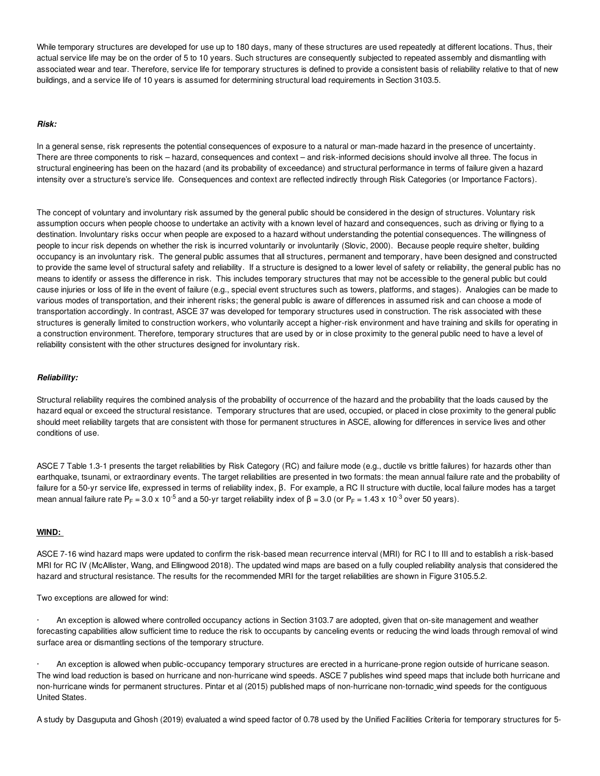While temporary structures are developed for use up to 180 days, many of these structures are used repeatedly at different locations. Thus, their actual service life may be on the order of 5 to 10 years. Such structures are consequently subjected to repeated assembly and dismantling with associated wear and tear. Therefore, service life for temporary structures is defined to provide a consistent basis of reliability relative to that of new buildings, and a service life of 10 years is assumed for determining structural load requirements in Section 3103.5.

## *Risk:*

In a general sense, risk represents the potential consequences of exposure to a natural or man-made hazard in the presence of uncertainty. There are three components to risk – hazard, consequences and context – and risk-informed decisions should involve all three. The focus in structural engineering has been on the hazard (and its probability of exceedance) and structural performance in terms of failure given a hazard intensity over a structure's service life. Consequences and context are reflected indirectly through Risk Categories (or Importance Factors).

The concept of voluntary and involuntary risk assumed by the general public should be considered in the design of structures. Voluntary risk assumption occurs when people choose to undertake an activity with a known level of hazard and consequences, such as driving or flying to a destination. Involuntary risks occur when people are exposed to a hazard without understanding the potential consequences. The willingness of people to incur risk depends on whether the risk is incurred voluntarily or involuntarily (Slovic, 2000). Because people require shelter, building occupancy is an involuntary risk. The general public assumes that all structures, permanent and temporary, have been designed and constructed to provide the same level of structural safety and reliability. If a structure is designed to a lower level of safety or reliability, the general public has no means to identify or assess the difference in risk. This includes temporary structures that may not be accessible to the general public but could cause injuries or loss of life in the event of failure (e.g., special event structures such as towers, platforms, and stages). Analogies can be made to various modes of transportation, and their inherent risks; the general public is aware of differences in assumed risk and can choose a mode of transportation accordingly. In contrast, ASCE 37 was developed for temporary structures used in construction. The risk associated with these structures is generally limited to construction workers, who voluntarily accept a higher-risk environment and have training and skills for operating in a construction environment. Therefore, temporary structures that are used by or in close proximity to the general public need to have a level of reliability consistent with the other structures designed for involuntary risk.

## *Reliability:*

Structural reliability requires the combined analysis of the probability of occurrence of the hazard and the probability that the loads caused by the hazard equal or exceed the structural resistance. Temporary structures that are used, occupied, or placed in close proximity to the general public should meet reliability targets that are consistent with those for permanent structures in ASCE, allowing for differences in service lives and other conditions of use.

ASCE 7 Table 1.3-1 presents the target reliabilities by Risk Category (RC) and failure mode (e.g., ductile vs brittle failures) for hazards other than earthquake, tsunami, or extraordinary events. The target reliabilities are presented in two formats: the mean annual failure rate and the probability of failure for a 50-yr service life, expressed in terms of reliability index, β. For example, a RC II structure with ductile, local failure modes has a target mean annual failure rate P<sub>F</sub> = 3.0 x 10<sup>-5</sup> and a 50-yr target reliability index of β = 3.0 (or P<sub>F</sub> = 1.43 x 10<sup>-3</sup> over 50 years).

### **WIND:**

ASCE 7-16 wind hazard maps were updated to confirm the risk-based mean recurrence interval (MRI) for RC I to III and to establish a risk-based MRI for RC IV (McAllister, Wang, and Ellingwood 2018). The updated wind maps are based on a fully coupled reliability analysis that considered the hazard and structural resistance. The results for the recommended MRI for the target reliabilities are shown in Figure 3105.5.2.

Two exceptions are allowed for wind:

· An exception is allowed where controlled occupancy actions in Section 3103.7 are adopted, given that on-site management and weather forecasting capabilities allow sufficient time to reduce the risk to occupants by canceling events or reducing the wind loads through removal of wind surface area or dismantling sections of the temporary structure.

· An exception is allowed when public-occupancy temporary structures are erected in a hurricane-prone region outside of hurricane season. The wind load reduction is based on hurricane and non-hurricane wind speeds. ASCE 7 publishes wind speed maps that include both hurricane and non-hurricane winds for permanent structures. Pintar et al (2015) published maps of non-hurricane non-tornadic wind speeds for the contiguous United States.

A study by Dasguputa and Ghosh (2019) evaluated a wind speed factor of 0.78 used by the Unified Facilities Criteria for temporary structures for 5-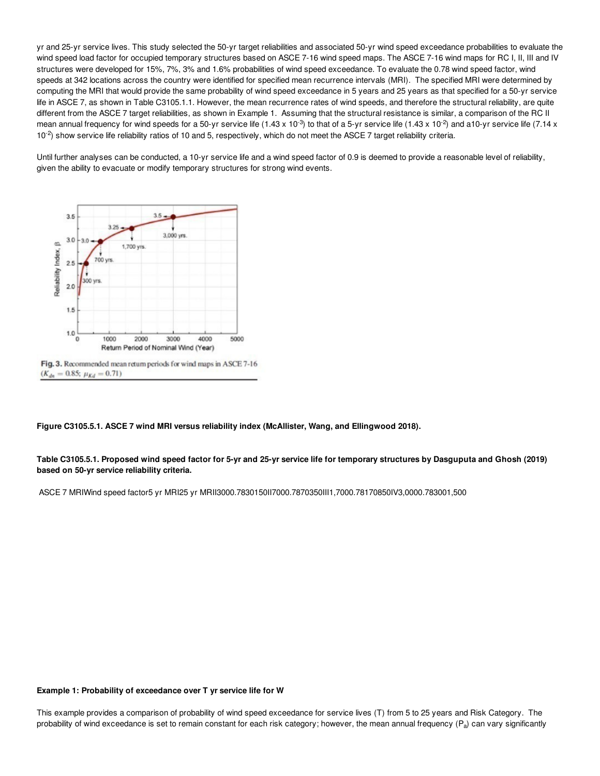yr and 25-yr service lives. This study selected the 50-yr target reliabilities and associated 50-yr wind speed exceedance probabilities to evaluate the wind speed load factor for occupied temporary structures based on ASCE 7-16 wind speed maps. The ASCE 7-16 wind maps for RC I, II, III and IV structures were developed for 15%, 7%, 3% and 1.6% probabilities of wind speed exceedance. To evaluate the 0.78 wind speed factor, wind speeds at 342 locations across the country were identified for specified mean recurrence intervals (MRI). The specified MRI were determined by computing the MRI that would provide the same probability of wind speed exceedance in 5 years and 25 years as that specified for a 50-yr service life in ASCE 7, as shown in Table C3105.1.1. However, the mean recurrence rates of wind speeds, and therefore the structural reliability, are quite different from the ASCE 7 target reliabilities, as shown in Example 1. Assuming that the structural resistance is similar, a comparison of the RC II mean annual frequency for wind speeds for a 50-yr service life (1.43 x 10<sup>-3</sup>) to that of a 5-yr service life (1.43 x 10<sup>-2</sup>) and a10-yr service life (7.14 x  $10^{-2}$ ) show service life reliability ratios of 10 and 5, respectively, which do not meet the ASCE 7 target reliability criteria.

Until further analyses can be conducted, a 10-yr service life and a wind speed factor of 0.9 is deemed to provide a reasonable level of reliability, given the ability to evacuate or modify temporary structures for strong wind events.



**Figure C3105.5.1. ASCE 7 wind MRI versus reliability index (McAllister, Wang, and Ellingwood 2018).**

Table C3105.5.1. Proposed wind speed factor for 5-yr and 25-yr service life for temporary structures by Dasguputa and Ghosh (2019) **based on 50-yr service reliability criteria.**

ASCE 7 MRIWind speed factor5 yr MRI25 yr MRII3000.7830150II7000.7870350III1,7000.78170850IV3,0000.783001,500

#### **Example 1: Probability of exceedance over T yr service life for W**

This example provides a comparison of probability of wind speed exceedance for service lives (T) from 5 to 25 years and Risk Category. The probability of wind exceedance is set to remain constant for each risk category; however, the mean annual frequency  $(P_a)$  can vary significantly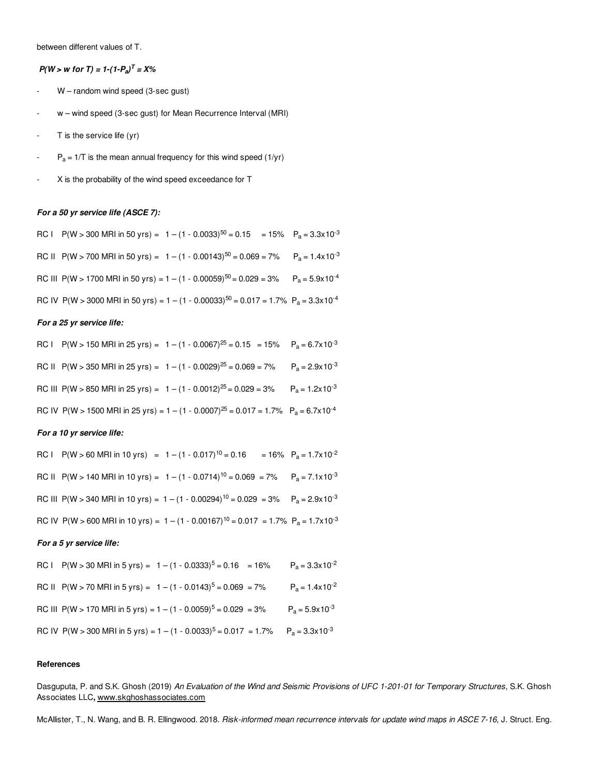between different values of T.

## *P*(*W* > *w for T*) = 1-(1-*P*<sub>a</sub>)<sup>*T*</sup> = *X*%

- W random wind speed (3-sec gust)
- w wind speed (3-sec gust) for Mean Recurrence Interval (MRI)
- $T$  is the service life (yr)
- $P_a = 1/T$  is the mean annual frequency for this wind speed (1/yr)
- X is the probability of the wind speed exceedance for T

### *For a 50 yr service life (ASCE 7):*

RC I P(W > 300 MRI in 50 yrs) =  $1 - (1 - 0.0033)^{50} = 0.15$  = 15% P<sub>a</sub> = 3.3x10<sup>-3</sup> RC II P(W > 700 MRI in 50 yrs) =  $1 - (1 - 0.00143)^{50} = 0.069 = 7\%$  P<sub>a</sub> = 1.4x10<sup>-3</sup> RC III P(W > 1700 MRI in 50 yrs) = 1 – (1 - 0.00059)<sup>50</sup> = 0.029 = 3% P<sub>a</sub> = 5.9x10<sup>-4</sup> RC IV P(W > 3000 MRI in 50 yrs) = 1 – (1 - 0.00033)<sup>50</sup> = 0.017 = 1.7% P<sub>a</sub> = 3.3x10<sup>-4</sup>

### *For a 25 yr service life:*

| RC I P(W > 150 MRI in 25 yrs) = $1 - (1 - 0.0067)^{25} = 0.15 = 15\%$ P <sub>a</sub> = 6.7x10 <sup>-3</sup>           |  |
|-----------------------------------------------------------------------------------------------------------------------|--|
| RC II P(W > 350 MRI in 25 yrs) = $1 - (1 - 0.0029)^{25} = 0.069 = 7\%$ P <sub>a</sub> = 2.9x10 <sup>-3</sup>          |  |
| RC III P(W > 850 MRI in 25 yrs) = $1 - (1 - 0.0012)^{25} = 0.029 = 3\%$ P <sub>a</sub> = 1.2x10 <sup>-3</sup>         |  |
| RC IV P(W > 1500 MRI in 25 yrs) = 1 – (1 - 0.0007) <sup>25</sup> = 0.017 = 1.7% P <sub>a</sub> = 6.7x10 <sup>-4</sup> |  |

## *For a 10 yr service life:*

| RC I P(W > 60 MRI in 10 yrs) = $1 - (1 - 0.017)^{10} = 0.16$                                                          | $= 16\% \quad P_a = 1.7 \times 10^{-2}$ |
|-----------------------------------------------------------------------------------------------------------------------|-----------------------------------------|
| RC II P(W > 140 MRI in 10 yrs) = $1 - (1 - 0.0714)^{10} = 0.069 = 7\%$ P <sub>a</sub> = 7.1x10 <sup>-3</sup>          |                                         |
| RC III P(W > 340 MRI in 10 yrs) = 1 – (1 - 0.00294) <sup>10</sup> = 0.029 = 3% P <sub>a</sub> = 2.9x10 <sup>-3</sup>  |                                         |
| RC IV P(W > 600 MRI in 10 yrs) = 1 – (1 - 0.00167) <sup>10</sup> = 0.017 = 1.7% P <sub>a</sub> = 1.7x10 <sup>-3</sup> |                                         |

### *For a 5 yr service life:*

| RC I P(W > 30 MRI in 5 yrs) = $1 - (1 - 0.0333)^{5} = 0.16 = 16\%$                                                 | $P_a = 3.3 \times 10^{-2}$ |
|--------------------------------------------------------------------------------------------------------------------|----------------------------|
| RC II P(W > 70 MRI in 5 yrs) = $1 - (1 - 0.0143)^5 = 0.069 = 7\%$                                                  | $P_a = 1.4 \times 10^{-2}$ |
| RC III P(W > 170 MRI in 5 yrs) = $1 - (1 - 0.0059)^5 = 0.029 = 3\%$                                                | $P_a = 5.9 \times 10^{-3}$ |
| RC IV P(W > 300 MRI in 5 yrs) = 1 – (1 - 0.0033) <sup>5</sup> = 0.017 = 1.7% P <sub>a</sub> = 3.3x10 <sup>-3</sup> |                            |

#### **References**

Dasguputa, P. and S.K. Ghosh (2019) An Evaluation of the Wind and Seismic Provisions of UFC 1-201-01 for Temporary Structures, S.K. Ghosh Associates LLC**,** www.skghoshassociates.com

McAllister, T., N. Wang, and B. R. Ellingwood. 2018. *Risk-informed mean recurrence intervals for update wind maps in ASCE 7-16*, J. Struct. Eng.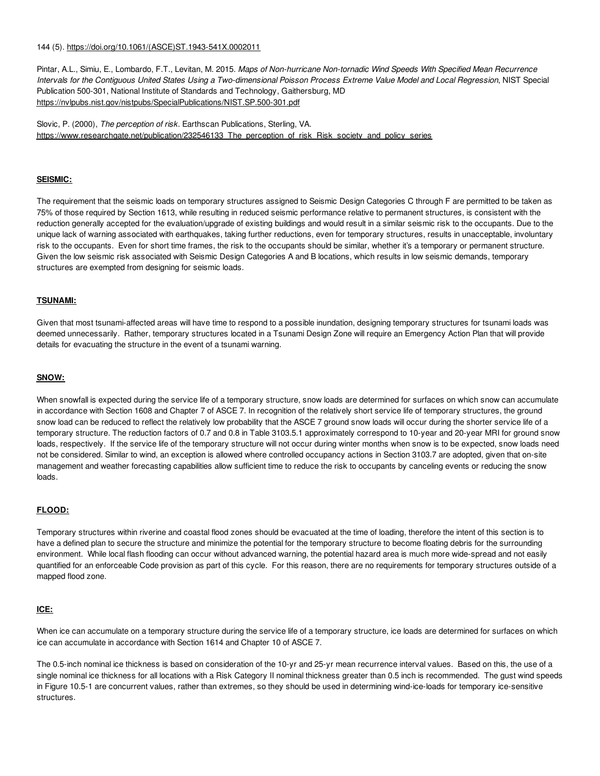## 144 (5). https://doi.org/10.1061/(ASCE)ST.1943-541X.0002011

Pintar, A.L., Simiu, E., Lombardo, F.T., Levitan, M. 2015. *Maps of Non-hurricane Non-tornadic Wind Speeds With Specified Mean Recurrence* Intervals for the Contiguous United States Using a Two-dimensional Poisson Process Extreme Value Model and Local Regression, NIST Special Publication 500-301, National Institute of Standards and Technology, Gaithersburg, MD https://nvlpubs.nist.gov/nistpubs/SpecialPublications/NIST.SP.500-301.pdf

Slovic, P. (2000), *The perception of risk*. Earthscan Publications, Sterling, VA. https://www.researchgate.net/publication/232546133\_The\_perception\_of\_risk\_Risk\_society\_and\_policy\_series

## **SEISMIC:**

The requirement that the seismic loads on temporary structures assigned to Seismic Design Categories C through F are permitted to be taken as 75% of those required by Section 1613, while resulting in reduced seismic performance relative to permanent structures, is consistent with the reduction generally accepted for the evaluation/upgrade of existing buildings and would result in a similar seismic risk to the occupants. Due to the unique lack of warning associated with earthquakes, taking further reductions, even for temporary structures, results in unacceptable, involuntary risk to the occupants. Even for short time frames, the risk to the occupants should be similar, whether it's a temporary or permanent structure. Given the low seismic risk associated with Seismic Design Categories A and B locations, which results in low seismic demands, temporary structures are exempted from designing for seismic loads.

## **TSUNAMI:**

Given that most tsunami-affected areas will have time to respond to a possible inundation, designing temporary structures for tsunami loads was deemed unnecessarily. Rather, temporary structures located in a Tsunami Design Zone will require an Emergency Action Plan that will provide details for evacuating the structure in the event of a tsunami warning.

## **SNOW:**

When snowfall is expected during the service life of a temporary structure, snow loads are determined for surfaces on which snow can accumulate in accordance with Section 1608 and Chapter 7 of ASCE 7. In recognition of the relatively short service life of temporary structures, the ground snow load can be reduced to reflect the relatively low probability that the ASCE 7 ground snow loads will occur during the shorter service life of a temporary structure. The reduction factors of 0.7 and 0.8 in Table 3103.5.1 approximately correspond to 10-year and 20-year MRI for ground snow loads, respectively. If the service life of the temporary structure will not occur during winter months when snow is to be expected, snow loads need not be considered. Similar to wind, an exception is allowed where controlled occupancy actions in Section 3103.7 are adopted, given that on-site management and weather forecasting capabilities allow sufficient time to reduce the risk to occupants by canceling events or reducing the snow loads.

## **FLOOD:**

Temporary structures within riverine and coastal flood zones should be evacuated at the time of loading, therefore the intent of this section is to have a defined plan to secure the structure and minimize the potential for the temporary structure to become floating debris for the surrounding environment. While local flash flooding can occur without advanced warning, the potential hazard area is much more wide-spread and not easily quantified for an enforceable Code provision as part of this cycle. For this reason, there are no requirements for temporary structures outside of a mapped flood zone.

## **ICE:**

When ice can accumulate on a temporary structure during the service life of a temporary structure, ice loads are determined for surfaces on which ice can accumulate in accordance with Section 1614 and Chapter 10 of ASCE 7.

The 0.5-inch nominal ice thickness is based on consideration of the 10-yr and 25-yr mean recurrence interval values. Based on this, the use of a single nominal ice thickness for all locations with a Risk Category II nominal thickness greater than 0.5 inch is recommended. The gust wind speeds in Figure 10.5-1 are concurrent values, rather than extremes, so they should be used in determining wind-ice-loads for temporary ice-sensitive structures.